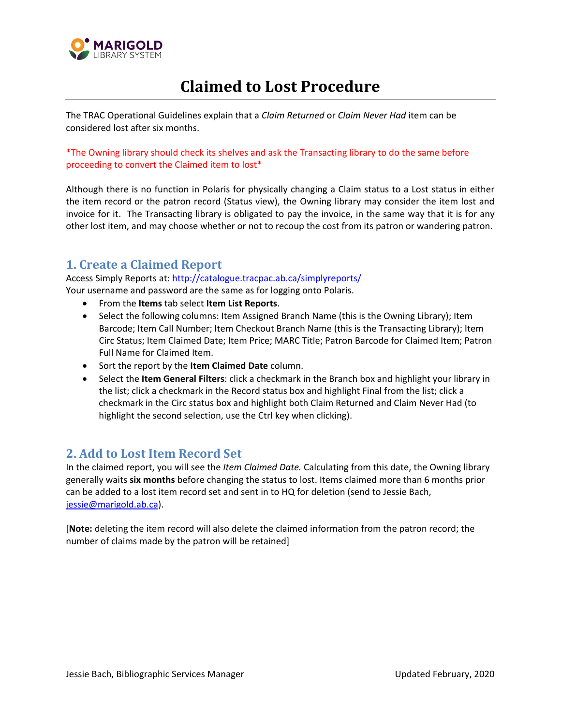

## **Claimed to Lost Procedure**

The TRAC Operational Guidelines explain that a *Claim Returned* or *Claim Never Had* item can be considered lost after six months.

\*The Owning library should check its shelves and ask the Transacting library to do the same before proceeding to convert the Claimed item to lost\*

Although there is no function in Polaris for physically changing a Claim status to a Lost status in either the item record or the patron record (Status view), the Owning library may consider the item lost and invoice for it. The Transacting library is obligated to pay the invoice, in the same way that it is for any other lost item, and may choose whether or not to recoup the cost from its patron or wandering patron.

## **1. Create a Claimed Report**

Access Simply Reports at:<http://catalogue.tracpac.ab.ca/simplyreports/> Your username and password are the same as for logging onto Polaris.

- From the **Items** tab select **Item List Reports**.
- Select the following columns: Item Assigned Branch Name (this is the Owning Library); Item Barcode; Item Call Number; Item Checkout Branch Name (this is the Transacting Library); Item Circ Status; Item Claimed Date; Item Price; MARC Title; Patron Barcode for Claimed Item; Patron Full Name for Claimed Item.
- Sort the report by the **Item Claimed Date** column.
- Select the **Item General Filters**: click a checkmark in the Branch box and highlight your library in the list; click a checkmark in the Record status box and highlight Final from the list; click a checkmark in the Circ status box and highlight both Claim Returned and Claim Never Had (to highlight the second selection, use the Ctrl key when clicking).

## **2. Add to Lost Item Record Set**

In the claimed report, you will see the *Item Claimed Date.* Calculating from this date, the Owning library generally waits **six months** before changing the status to lost. Items claimed more than 6 months prior can be added to a lost item record set and sent in to HQ for deletion (send to Jessie Bach, [jessie@marigold.ab.ca\)](mailto:jessie@marigold.ab.ca).

[**Note:** deleting the item record will also delete the claimed information from the patron record; the number of claims made by the patron will be retained]